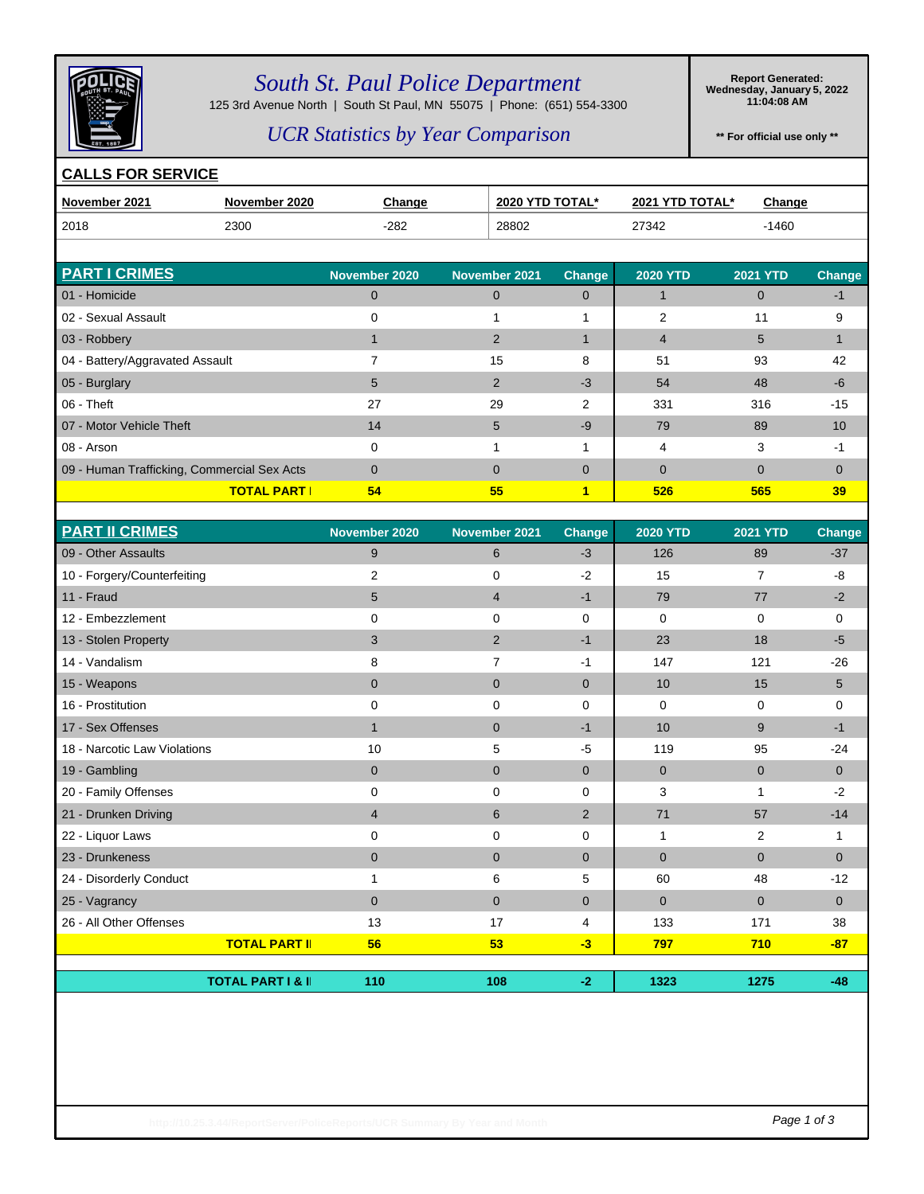

## *South St. Paul Police Department*

125 3rd Avenue North | South St Paul, MN 55075 | Phone: (651) 554-3300

**Report Generated: Wednesday, January 5, 2022 11:04:08 AM**

### *UCR Statistics by Year Comparison*

**\*\* For official use only \*\***

#### **CALLS FOR SERVICE**

| November 2021                               | November 2020       | <b>Change</b> | 2020 YTD TOTAL* |               | 2021 YTD TOTAL* | <b>Change</b>   |               |
|---------------------------------------------|---------------------|---------------|-----------------|---------------|-----------------|-----------------|---------------|
| 2018                                        | 2300                | $-282$        | 28802           |               | 27342           | $-1460$         |               |
|                                             |                     |               |                 |               |                 |                 |               |
| <b>PART I CRIMES</b>                        |                     | November 2020 | November 2021   | <b>Change</b> | <b>2020 YTD</b> | <b>2021 YTD</b> | <b>Change</b> |
| 01 - Homicide                               |                     | $\mathbf 0$   | $\mathbf 0$     | 0             |                 | $\mathbf{0}$    | -1            |
| 02 - Sexual Assault                         |                     | 0             |                 |               | 2               | 11              | 9             |
| 03 - Robbery                                |                     | 1             | 2               |               | $\overline{4}$  | 5               | $\mathbf 1$   |
| 04 - Battery/Aggravated Assault             |                     |               | 15              | 8             | 51              | 93              | 42            |
| 05 - Burglary                               |                     | 5             | 2               | $-3$          | 54              | 48              | $-6$          |
| $06 -$ Theft                                |                     | 27            | 29              | 2             | 331             | 316             | $-15$         |
| 07 - Motor Vehicle Theft                    |                     | 14            | 5               | $-9$          | 79              | 89              | 10            |
| 08 - Arson                                  |                     | 0             |                 |               | 4               | 3               | $-1$          |
| 09 - Human Trafficking, Commercial Sex Acts |                     | $\Omega$      | $\Omega$        | 0             | $\mathbf{0}$    | $\Omega$        | $\Omega$      |
|                                             | <b>TOTAL PART I</b> | 54            | 55              | $\mathbf{1}$  | 526             | 565             | 39            |

| <b>PART II CRIMES</b>        |                              | November 2020  | November 2021  | Change         | <b>2020 YTD</b> | <b>2021 YTD</b> | Change       |
|------------------------------|------------------------------|----------------|----------------|----------------|-----------------|-----------------|--------------|
| 09 - Other Assaults          |                              | 9              | 6              | $-3$           | 126             | 89              | $-37$        |
| 10 - Forgery/Counterfeiting  |                              | 2              | 0              | $-2$           | 15              | $\overline{7}$  | -8           |
| 11 - Fraud                   |                              | 5              | $\overline{4}$ | $-1$           | 79              | 77              | $-2$         |
| 12 - Embezzlement            |                              | 0              | 0              | 0              | 0               | 0               | 0            |
| 13 - Stolen Property         |                              | 3              | $\overline{2}$ | $-1$           | 23              | 18              | $-5$         |
| 14 - Vandalism               |                              | 8              | $\overline{7}$ | $-1$           | 147             | 121             | $-26$        |
| 15 - Weapons                 |                              | $\mathbf 0$    | $\mathbf 0$    | $\mathbf 0$    | 10              | 15              | 5            |
| 16 - Prostitution            |                              | 0              | 0              | 0              | 0               | 0               | 0            |
| 17 - Sex Offenses            |                              | $\mathbf{1}$   | $\mathbf 0$    | $-1$           | 10              | 9               | -1           |
| 18 - Narcotic Law Violations |                              | 10             | 5              | -5             | 119             | 95              | $-24$        |
| 19 - Gambling                |                              | $\mathbf 0$    | $\mathbf 0$    | $\overline{0}$ | $\overline{0}$  | $\overline{0}$  | $\mathbf{0}$ |
| 20 - Family Offenses         |                              | 0              | 0              | $\Omega$       | 3               |                 | $-2$         |
| 21 - Drunken Driving         |                              | $\overline{4}$ | 6              | $\overline{2}$ | 71              | 57              | $-14$        |
| 22 - Liquor Laws             |                              | 0              | 0              | 0              | 1               | 2               | 1            |
| 23 - Drunkeness              |                              | $\mathbf{0}$   | $\mathbf{0}$   | $\mathbf{0}$   | $\mathbf{0}$    | $\mathbf{0}$    | $\Omega$     |
| 24 - Disorderly Conduct      |                              |                | 6              | 5              | 60              | 48              | $-12$        |
| 25 - Vagrancy                |                              | $\mathbf{0}$   | $\mathbf{0}$   | $\mathbf{0}$   | $\mathbf{0}$    | $\mathbf{0}$    | $\mathbf{0}$ |
| 26 - All Other Offenses      |                              | 13             | 17             | 4              | 133             | 171             | 38           |
|                              | <b>TOTAL PART II</b>         | 56             | 53             | $-3$           | 797             | 710             | $-87$        |
|                              |                              |                |                |                |                 |                 |              |
|                              | <b>TOTAL PART I &amp; II</b> | 110            | 108            | $-2$           | 1323            | 1275            | $-48$        |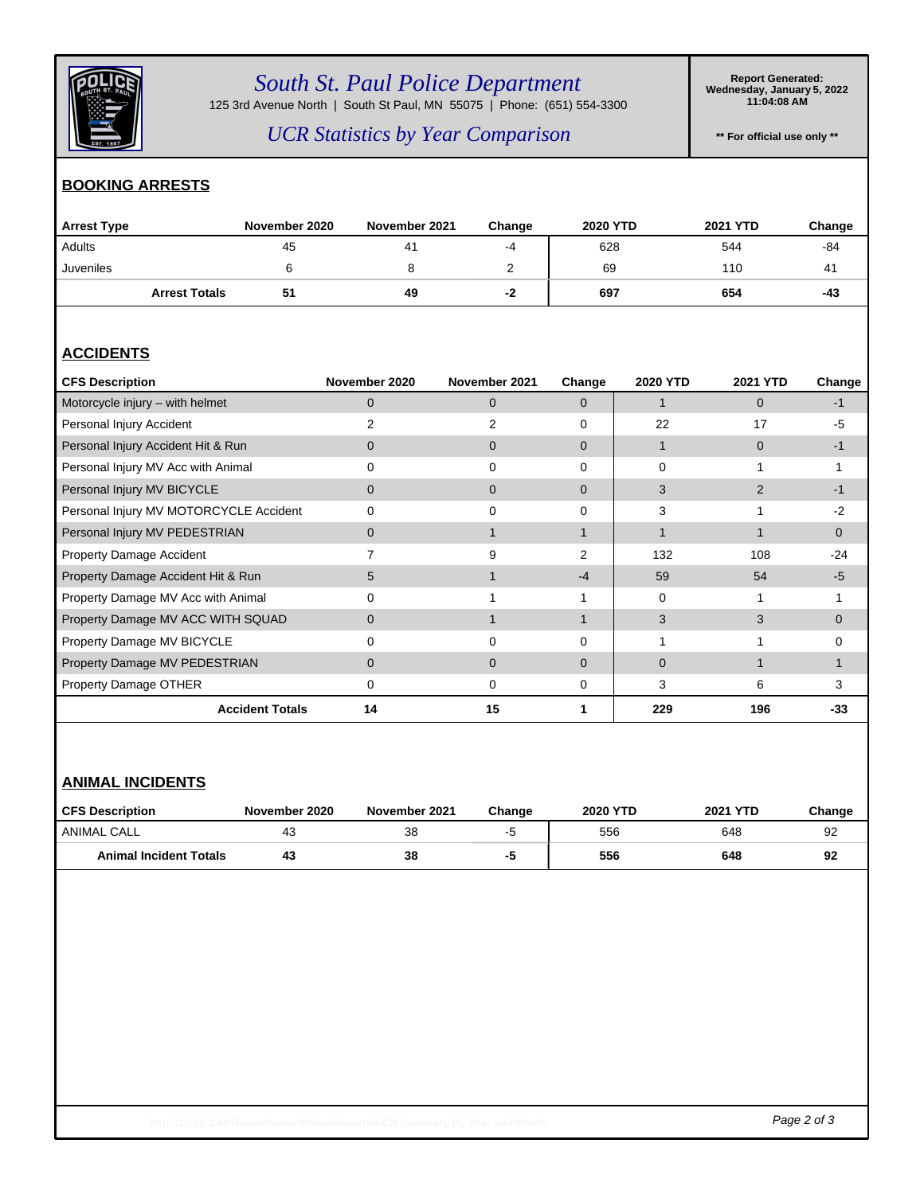

# *South St. Paul Police Department*

125 3rd Avenue North | South St Paul, MN 55075 | Phone: (651) 554-3300

**Report Generated: Wednesday, January 5, 2022 11:04:08 AM**

*UCR Statistics by Year Comparison*

**\*\* For official use only \*\***

### **BOOKING ARRESTS**

| <b>Arrest Type</b>   | November 2020 | November 2021 | Change | <b>2020 YTD</b> | 2021 YTD | Change |
|----------------------|---------------|---------------|--------|-----------------|----------|--------|
| Adults               | 45            | 41            | -4     | 628             | 544      | -84    |
| Juveniles            |               |               | ▃      | 69              | 110      | 41     |
| <b>Arrest Totals</b> | 51            | 49            | -2     | 697             | 654      | -43    |

### **ACCIDENTS**

| <b>CFS Description</b>                 | November 2020 | November 2021  | Change   | 2020 YTD | <b>2021 YTD</b> | Change   |
|----------------------------------------|---------------|----------------|----------|----------|-----------------|----------|
| Motorcycle injury - with helmet        | 0             | $\Omega$       | $\Omega$ |          | $\Omega$        | -1       |
| Personal Injury Accident               |               |                | $\Omega$ | 22       | 17              | $-5$     |
| Personal Injury Accident Hit & Run     | 0             | 0              | $\Omega$ |          | $\Omega$        | -1       |
| Personal Injury MV Acc with Animal     | 0             | $\Omega$       | $\Omega$ | 0        |                 |          |
| Personal Injury MV BICYCLE             | 0             | $\Omega$       | $\Omega$ | 3        | 2               | -1       |
| Personal Injury MV MOTORCYCLE Accident | 0             | $\Omega$       | 0        | 3        |                 | $-2$     |
| Personal Injury MV PEDESTRIAN          | 0             |                |          |          |                 | $\Omega$ |
| Property Damage Accident               |               | 9              | 2        | 132      | 108             | $-24$    |
| Property Damage Accident Hit & Run     | 5             |                | $-4$     | 59       | 54              | -5       |
| Property Damage MV Acc with Animal     | $\Omega$      |                |          | 0        |                 |          |
| Property Damage MV ACC WITH SQUAD      | 0             |                |          | 3        | 3               | $\Omega$ |
| Property Damage MV BICYCLE             | 0             | 0              | 0        |          |                 | $\Omega$ |
| Property Damage MV PEDESTRIAN          | $\Omega$      | $\overline{0}$ | $\Omega$ | 0        |                 |          |
| Property Damage OTHER                  | 0             | 0              | 0        | 3        | 6               | 3        |
| <b>Accident Totals</b>                 | 14            | 15             |          | 229      | 196             | -33      |

### **ANIMAL INCIDENTS**

| <b>CFS Description</b>        | November 2020 | November 2021 | Change | <b>2020 YTD</b> | 2021 YTD | Change |
|-------------------------------|---------------|---------------|--------|-----------------|----------|--------|
| ANIMAL CALL                   | 43            | 38            | - -    | 556             | 648      | 92     |
| <b>Animal Incident Totals</b> | 43            | 38            | -9     | 556             | 648      | 92     |